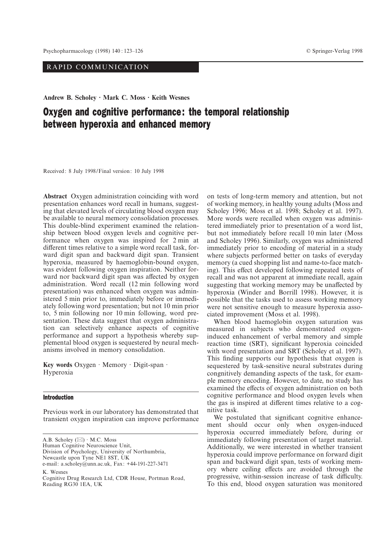# RAPID COMMUNICATION

Andrew B. Scholey · Mark C. Moss · Keith Wesnes

# Oxygen and cognitive performance: the temporal relationship between hyperoxia and enhanced memory

Received: 8 July 1998/Final version: 10 July 1998

Abstract Oxygen administration coinciding with word presentation enhances word recall in humans, suggesting that elevated levels of circulating blood oxygen may be available to neural memory consolidation processes. This double-blind experiment examined the relationship between blood oxygen levels and cognitive performance when oxygen was inspired for 2 min at different times relative to a simple word recall task, forward digit span and backward digit span. Transient hyperoxia, measured by haemoglobin-bound oxygen, was evident following oxygen inspiration. Neither forward nor backward digit span was affected by oxygen administration. Word recall (12 min following word presentation) was enhanced when oxygen was administered 5 min prior to, immediately before or immediately following word presentation; but not 10 min prior to, 5 min following nor 10 min following, word presentation. These data suggest that oxygen administration can selectively enhance aspects of cognitive performance and support a hypothesis whereby supplemental blood oxygen is sequestered by neural mechanisms involved in memory consolidation.

Key words Oxygen · Memory · Digit-span · Hyperoxia

# Introduction

Previous work in our laboratory has demonstrated that transient oxygen inspiration can improve performance

A.B. Scholey  $(\boxtimes) \cdot M.C.$  Moss

Human Cognitive Neuroscience Unit,

Division of Psychology, University of Northumbria, Newcastle upon Tyne NE1 8ST, UK

e-mail: a.scholey@unn.ac.uk, Fax: +44-191-227-3471

K. Wesnes

on tests of long-term memory and attention, but not of working memory, in healthy young adults (Moss and Scholey 1996; Moss et al. 1998; Scholey et al. 1997). More words were recalled when oxygen was administered immediately prior to presentation of a word list, but not immediately before recall 10 min later (Moss and Scholey 1996). Similarly, oxygen was administered immediately prior to encoding of material in a study where subjects performed better on tasks of everyday memory (a cued shopping list and name-to-face matching). This effect developed following repeated tests of recall and was not apparent at immediate recall, again suggesting that working memory may be unaffected by hyperoxia (Winder and Borrill 1998). However, it is possible that the tasks used to assess working memory were not sensitive enough to measure hyperoxia associated improvement (Moss et al. 1998).

When blood haemoglobin oxygen saturation was measured in subjects who demonstrated oxygeninduced enhancement of verbal memory and simple reaction time (SRT), significant hyperoxia coincided with word presentation and SRT (Scholey et al. 1997). This finding supports our hypothesis that oxygen is sequestered by task-sensitive neural substrates during congnitively demanding aspects of the task, for example memory encoding. However, to date, no study has examined the effects of oxygen administration on both cognitive performance and blood oxygen levels when the gas is inspired at different times relative to a cognitive task.

We postulated that significant cognitive enhancement should occur only when oxygen-induced hyperoxia occurred immediately before, during or immediately following presentation of target material. Additionally, we were interested in whether transient hyperoxia could improve performance on forward digit span and backward digit span, tests of working memory where ceiling effects are avoided through the progressive, within-session increase of task difficulty. To this end, blood oxygen saturation was monitored

Cognitive Drug Research Ltd, CDR House, Portman Road, Reading RG30 1EA, UK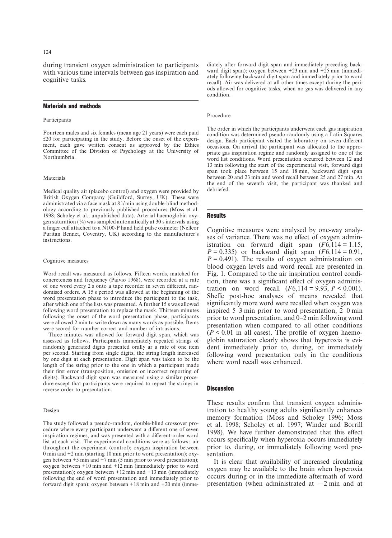during transient oxygen administration to participants with various time intervals between gas inspiration and cognitive tasks.

# Materials and methods

## Participants

Fourteen males and six females (mean age 21 years) were each paid £20 for participating in the study. Before the onset of the experiment, each gave written consent as approved by the Ethics Committee of the Division of Psychology at the University of Northumbria.

# Materials

Medical quality air (placebo control) and oxygen were provided by British Oxygen Company (Guildford, Surrey, UK). These were administrated via a face mask at 8 l/min using double-blind methodology according to previously published procedures (Moss et al. 1998; Scholey et al., unpublished data). Arterial haemoglobin oxygen saturation  $(\%)$  was sampled automatically at 30 s intervals using a finger cuff attached to a N100-P hand held pulse oximeter (Nellcor Puritan Bennet, Coventry, UK) according to the manufacturer's instructions.

#### Cognitive measures

Word recall was measured as follows. Fifteen words, matched for concreteness and frequency (Paivio 1968), were recorded at a rate of one word every 2 s onto a tape recorder in seven different, randomised orders. A 15 s period was allowed at the beginning of the word presentation phase to introduce the participant to the task, after which one of the lists was presented. A further 15 s was allowed following word presentation to replace the mask. Thirteen minutes following the onset of the word presentation phase, participants were allowed 2 min to write down as many words as possible. Items were scored for number correct and number of intrusions.

Three minutes was allowed for forward digit span, which was assessed as follows. Participants immediately repeated strings of randomly generated digits presented orally ar a rate of one item per second. Starting from single digits, the string length increased by one digit at each presentation. Digit span was taken to be the length of the string prior to the one in which a participant made their first error (transposition, omission or incorrect reporting of digits). Backward digit span was measured using a similar procedure except that participants were required to repeat the strings in reverse order to presentation.

#### Design

The study followed a pseudo-random, double-blind crossover procedure where every participant underwent a different one of seven inspiration regimes, and was presented with a different-order word list at each visit. The experimental conditions were as follows: air throughout the experiment (control); oxygen inspiration between 0 min and +2 min (starting 10 min prior to word presentation); oxygen between +5 min and +7 min (5 min prior to word presentation); oxygen between +10 min and +12 min (immediately prior to word presentation); oxygen between +12 min and +13 min (immediately following the end of word presentation and immediately prior to forward digit span); oxygen between +18 min and +20 min (immediately after forward digit span and immediately preceding backward digit span); oxygen between +23 min and +25 min (immediately following backward digit span and immediately prior to word recall). Air was delivered at all other times except during the periods allowed for cognitive tasks, when no gas was delivered in any condition.

#### Procedure

The order in which the participants underwent each gas inspiration condition was determined pseudo-randomly using a Latin Squares design. Each participant visited the laboratory on seven different occasions. On arrival the participant was allocated to the appropriate gas inspiration regime and randomly assigned to one of the word list conditions. Word presentation occurred between 12 and 13 min following the start of the experimental visit, forward digit span took place between 15 and 18 min, backward digit span between 20 and 23 min and word recall between 25 and 27 min. At the end of the seventh visit, the participant was thanked and debriefed.

#### Results

Cognitive measures were analysed by one-way analyses of variance. There was no effect of oxygen administration on forward digit span  $(F6, 114 = 1.15,$  $P = 0.335$ ) or backward digit span  $(F6, 114 = 0.91)$ ,  $P = 0.491$ ). The results of oxygen administration on blood oxygen levels and word recall are presented in Fig. 1. Compared to the air inspiration control condition, there was a significant effect of oxygen administration on word recall  $(F6, 114 = 9.93, P < 0.001)$ . Sheffe post-hoc analyses of means revealed that significantly more word were recalled when oxygen was inspired  $5-3$  min prior to word presentation,  $2-0$  min prior to word presentation, and  $0-2$  min following word presentation when compared to all other conditions  $(P < 0.01$  in all cases). The profile of oxygen haemoglobin saturation clearly shows that hyperoxia is evident immediately prior to, during, or immediately following word presentation only in the conditions where word recall was enhanced.

#### **Discussion**

These results confirm that transient oxygen administration to healthy young adults significantly enhances memory formation (Moss and Scholey 1996; Moss et al. 1998; Scholey et al. 1997; Winder and Borrill 1998). We have further demonstrated that this effect occurs specifically when hyperoxia occurs immediately prior to, during, or immediately following word presentation.

It is clear that availability of increased circulating oxygen may be available to the brain when hyperoxia occurs during or in the immediate aftermath of word presentation (when administrated at  $-2$  min and at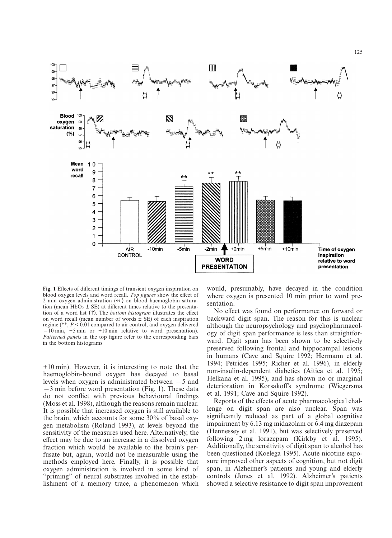

Fig. 1 Effects of different timings of transient oxygen inspiration on blood oxygen levels and word recall. Top figures show the effect of 2 min oxygen administration (⇔) on blood haemoglobin saturation (mean HbO<sub>2</sub>  $\pm$  SE) at different times relative to the presentation of a word list  $(†)$ . The *bottom histogram* illustrates the effect on word recall (mean number of words  $\pm$  SE) of each inspiration regime (\*\*,  $P \le 0.01$  compared to air control, and oxygen delivered  $-10$  min,  $+5$  min or  $+10$  min relative to word presentation). Patterned panels in the top figure refer to the corresponding bars in the bottom histograms

+10 min). However, it is interesting to note that the haemoglobin-bound oxygen has decayed to basal levels when oxygen is administrated between  $-5$  and  $-3$  min before word presentation (Fig. 1). These data do not conflict with previous behavioural findings (Moss et al. 1998), although the reasons remain unclear. It is possible that increased oxygen is still available to the brain, which accounts for some 30% of basal oxygen metabolism (Roland 1993), at levels beyond the sensitivity of the measures used here. Alternatively, the effect may be due to an increase in a dissolved oxygen fraction which would be available to the brain's perfusate but, again, would not be measurable using the methods employed here. Finally, it is possible that oxygen administration is involved in some kind of "priming" of neural substrates involved in the establishment of a memory trace, a phenomenon which

would, presumably, have decayed in the condition where oxygen is presented 10 min prior to word presentation.

No effect was found on performance on forward or backward digit span. The reason for this is unclear although the neuropsychology and psychopharmacology of digit span performance is less than straightforward. Digit span has been shown to be selectively preserved following frontal and hippocampal lesions in humans (Cave and Squire 1992; Hermann et al. 1994; Petrides 1995; Richer et al. 1996), in elderly non-insulin-dependent diabetics (Aitiea et al. 1995; Helkana et al. 1995), and has shown no or marginal deterioration in Korsakoff's syndrome (Wiegersma et al. 1991; Cave and Squire 1992).

Reports of the effects of acute pharmacological challenge on digit span are also unclear. Span was significantly reduced as part of a global cognitive impairment by 6.13 mg midazolam or 6.4 mg diazepam (Hennessey et al. 1991), but was selectively preserved following 2 mg lorazepam (Kirkby et al. 1995). Additionally, the sensitivity of digit span to alcohol has been questioned (Koelega 1995). Acute nicotine exposure improved other aspects of cognition, but not digit span, in Alzheimer's patients and young and elderly controls (Jones et al. 1992). Alzheimer's patients showed a selective resistance to digit span improvement